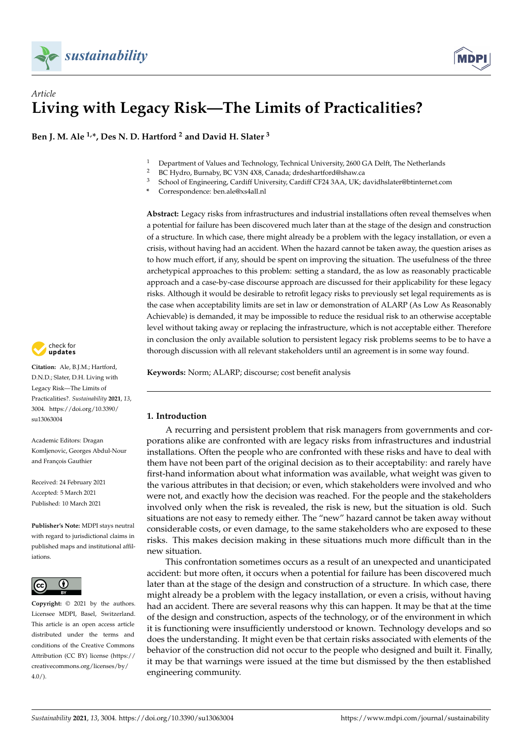

# *Article* **Living with Legacy Risk—The Limits of Practicalities?**

**Ben J. M. Ale 1,\*, Des N. D. Hartford <sup>2</sup> and David H. Slater <sup>3</sup>**

- <sup>1</sup> Department of Values and Technology, Technical University, 2600 GA Delft, The Netherlands<br><sup>2</sup> PC Hydro Burnahy PC V2N 4X8 Canadas dedeels the Shavy ca
- <sup>2</sup> BC Hydro, Burnaby, BC V3N 4X8, Canada; drdeshartford@shaw.ca<br><sup>3</sup> Sebasel of Fragmassing, Candiff University, Candiff CE24.2AA, UK: a
- <sup>3</sup> School of Engineering, Cardiff University, Cardiff CF24 3AA, UK; davidhslater@btinternet.com
- **\*** Correspondence: ben.ale@xs4all.nl

**Abstract:** Legacy risks from infrastructures and industrial installations often reveal themselves when a potential for failure has been discovered much later than at the stage of the design and construction of a structure. In which case, there might already be a problem with the legacy installation, or even a crisis, without having had an accident. When the hazard cannot be taken away, the question arises as to how much effort, if any, should be spent on improving the situation. The usefulness of the three archetypical approaches to this problem: setting a standard, the as low as reasonably practicable approach and a case-by-case discourse approach are discussed for their applicability for these legacy risks. Although it would be desirable to retrofit legacy risks to previously set legal requirements as is the case when acceptability limits are set in law or demonstration of ALARP (As Low As Reasonably Achievable) is demanded, it may be impossible to reduce the residual risk to an otherwise acceptable level without taking away or replacing the infrastructure, which is not acceptable either. Therefore in conclusion the only available solution to persistent legacy risk problems seems to be to have a thorough discussion with all relevant stakeholders until an agreement is in some way found.

**Keywords:** Norm; ALARP; discourse; cost benefit analysis

#### **1. Introduction**

A recurring and persistent problem that risk managers from governments and corporations alike are confronted with are legacy risks from infrastructures and industrial installations. Often the people who are confronted with these risks and have to deal with them have not been part of the original decision as to their acceptability: and rarely have first-hand information about what information was available, what weight was given to the various attributes in that decision; or even, which stakeholders were involved and who were not, and exactly how the decision was reached. For the people and the stakeholders involved only when the risk is revealed, the risk is new, but the situation is old. Such situations are not easy to remedy either. The "new" hazard cannot be taken away without considerable costs, or even damage, to the same stakeholders who are exposed to these risks. This makes decision making in these situations much more difficult than in the new situation.

This confrontation sometimes occurs as a result of an unexpected and unanticipated accident: but more often, it occurs when a potential for failure has been discovered much later than at the stage of the design and construction of a structure. In which case, there might already be a problem with the legacy installation, or even a crisis, without having had an accident. There are several reasons why this can happen. It may be that at the time of the design and construction, aspects of the technology, or of the environment in which it is functioning were insufficiently understood or known. Technology develops and so does the understanding. It might even be that certain risks associated with elements of the behavior of the construction did not occur to the people who designed and built it. Finally, it may be that warnings were issued at the time but dismissed by the then established engineering community.



**Citation:** Ale, B.J.M.; Hartford, D.N.D.; Slater, D.H. Living with Legacy Risk—The Limits of Practicalities?. *Sustainability* **2021**, *13*, 3004. [https://doi.org/10.3390/](https://doi.org/10.3390/su13063004) [su13063004](https://doi.org/10.3390/su13063004)

Academic Editors: Dragan Komljenovic, Georges Abdul-Nour and François Gauthier

Received: 24 February 2021 Accepted: 5 March 2021 Published: 10 March 2021

**Publisher's Note:** MDPI stays neutral with regard to jurisdictional claims in published maps and institutional affiliations.



**Copyright:** © 2021 by the authors. Licensee MDPI, Basel, Switzerland. This article is an open access article distributed under the terms and conditions of the Creative Commons Attribution (CC BY) license (https:/[/](https://creativecommons.org/licenses/by/4.0/) [creativecommons.org/licenses/by/](https://creativecommons.org/licenses/by/4.0/)  $4.0/$ ).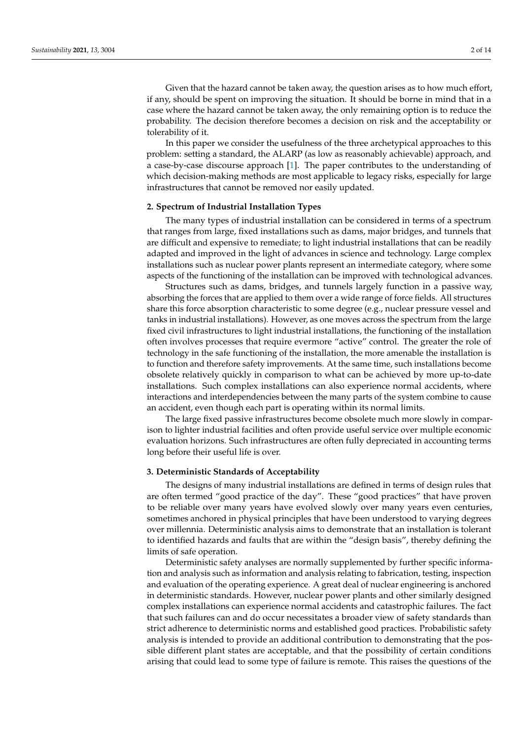Given that the hazard cannot be taken away, the question arises as to how much effort, if any, should be spent on improving the situation. It should be borne in mind that in a case where the hazard cannot be taken away, the only remaining option is to reduce the probability. The decision therefore becomes a decision on risk and the acceptability or tolerability of it.

In this paper we consider the usefulness of the three archetypical approaches to this problem: setting a standard, the ALARP (as low as reasonably achievable) approach, and a case-by-case discourse approach [\[1\]](#page-12-0). The paper contributes to the understanding of which decision-making methods are most applicable to legacy risks, especially for large infrastructures that cannot be removed nor easily updated.

#### **2. Spectrum of Industrial Installation Types**

The many types of industrial installation can be considered in terms of a spectrum that ranges from large, fixed installations such as dams, major bridges, and tunnels that are difficult and expensive to remediate; to light industrial installations that can be readily adapted and improved in the light of advances in science and technology. Large complex installations such as nuclear power plants represent an intermediate category, where some aspects of the functioning of the installation can be improved with technological advances.

Structures such as dams, bridges, and tunnels largely function in a passive way, absorbing the forces that are applied to them over a wide range of force fields. All structures share this force absorption characteristic to some degree (e.g., nuclear pressure vessel and tanks in industrial installations). However, as one moves across the spectrum from the large fixed civil infrastructures to light industrial installations, the functioning of the installation often involves processes that require evermore "active" control. The greater the role of technology in the safe functioning of the installation, the more amenable the installation is to function and therefore safety improvements. At the same time, such installations become obsolete relatively quickly in comparison to what can be achieved by more up-to-date installations. Such complex installations can also experience normal accidents, where interactions and interdependencies between the many parts of the system combine to cause an accident, even though each part is operating within its normal limits.

The large fixed passive infrastructures become obsolete much more slowly in comparison to lighter industrial facilities and often provide useful service over multiple economic evaluation horizons. Such infrastructures are often fully depreciated in accounting terms long before their useful life is over.

#### **3. Deterministic Standards of Acceptability**

The designs of many industrial installations are defined in terms of design rules that are often termed "good practice of the day". These "good practices" that have proven to be reliable over many years have evolved slowly over many years even centuries, sometimes anchored in physical principles that have been understood to varying degrees over millennia. Deterministic analysis aims to demonstrate that an installation is tolerant to identified hazards and faults that are within the "design basis", thereby defining the limits of safe operation.

Deterministic safety analyses are normally supplemented by further specific information and analysis such as information and analysis relating to fabrication, testing, inspection and evaluation of the operating experience. A great deal of nuclear engineering is anchored in deterministic standards. However, nuclear power plants and other similarly designed complex installations can experience normal accidents and catastrophic failures. The fact that such failures can and do occur necessitates a broader view of safety standards than strict adherence to deterministic norms and established good practices. Probabilistic safety analysis is intended to provide an additional contribution to demonstrating that the possible different plant states are acceptable, and that the possibility of certain conditions arising that could lead to some type of failure is remote. This raises the questions of the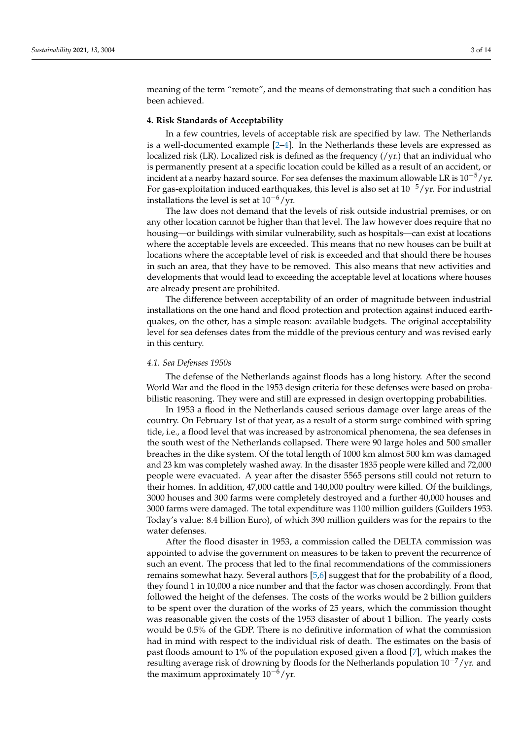meaning of the term "remote", and the means of demonstrating that such a condition has been achieved.

#### **4. Risk Standards of Acceptability**

In a few countries, levels of acceptable risk are specified by law. The Netherlands is a well-documented example [\[2](#page-12-1)[–4\]](#page-12-2). In the Netherlands these levels are expressed as localized risk (LR). Localized risk is defined as the frequency (/yr.) that an individual who is permanently present at a specific location could be killed as a result of an accident, or incident at a nearby hazard source. For sea defenses the maximum allowable LR is  $10^{-5}/yr$ . For gas-exploitation induced earthquakes, this level is also set at  $10^{-5}/yr$ . For industrial installations the level is set at  $10^{-6}/yr$ .

The law does not demand that the levels of risk outside industrial premises, or on any other location cannot be higher than that level. The law however does require that no housing—or buildings with similar vulnerability, such as hospitals—can exist at locations where the acceptable levels are exceeded. This means that no new houses can be built at locations where the acceptable level of risk is exceeded and that should there be houses in such an area, that they have to be removed. This also means that new activities and developments that would lead to exceeding the acceptable level at locations where houses are already present are prohibited.

The difference between acceptability of an order of magnitude between industrial installations on the one hand and flood protection and protection against induced earthquakes, on the other, has a simple reason: available budgets. The original acceptability level for sea defenses dates from the middle of the previous century and was revised early in this century.

#### *4.1. Sea Defenses 1950s*

The defense of the Netherlands against floods has a long history. After the second World War and the flood in the 1953 design criteria for these defenses were based on probabilistic reasoning. They were and still are expressed in design overtopping probabilities.

In 1953 a flood in the Netherlands caused serious damage over large areas of the country. On February 1st of that year, as a result of a storm surge combined with spring tide, i.e., a flood level that was increased by astronomical phenomena, the sea defenses in the south west of the Netherlands collapsed. There were 90 large holes and 500 smaller breaches in the dike system. Of the total length of 1000 km almost 500 km was damaged and 23 km was completely washed away. In the disaster 1835 people were killed and 72,000 people were evacuated. A year after the disaster 5565 persons still could not return to their homes. In addition, 47,000 cattle and 140,000 poultry were killed. Of the buildings, 3000 houses and 300 farms were completely destroyed and a further 40,000 houses and 3000 farms were damaged. The total expenditure was 1100 million guilders (Guilders 1953. Today's value: 8.4 billion Euro), of which 390 million guilders was for the repairs to the water defenses.

After the flood disaster in 1953, a commission called the DELTA commission was appointed to advise the government on measures to be taken to prevent the recurrence of such an event. The process that led to the final recommendations of the commissioners remains somewhat hazy. Several authors [\[5](#page-12-3)[,6\]](#page-12-4) suggest that for the probability of a flood, they found 1 in 10,000 a nice number and that the factor was chosen accordingly. From that followed the height of the defenses. The costs of the works would be 2 billion guilders to be spent over the duration of the works of 25 years, which the commission thought was reasonable given the costs of the 1953 disaster of about 1 billion. The yearly costs would be 0.5% of the GDP. There is no definitive information of what the commission had in mind with respect to the individual risk of death. The estimates on the basis of past floods amount to 1% of the population exposed given a flood [\[7\]](#page-12-5), which makes the resulting average risk of drowning by floods for the Netherlands population  $10^{-7}/yr$ . and the maximum approximately  $10^{-6}/yr$ .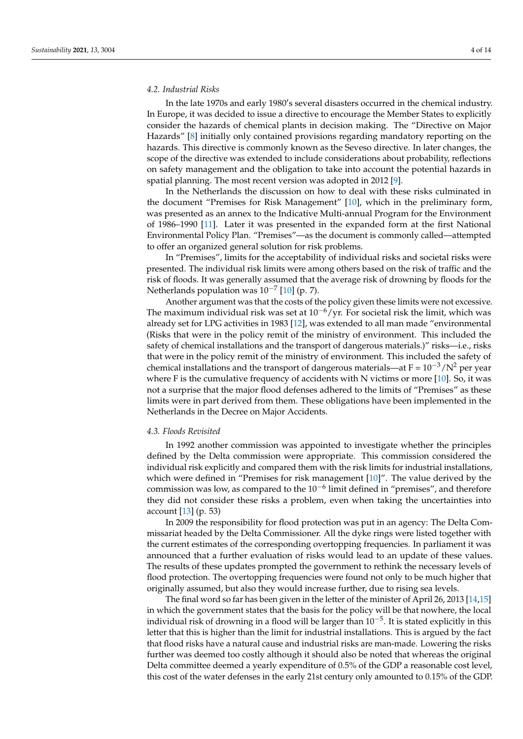#### *4.2. Industrial Risks*

In the late 1970s and early 1980's several disasters occurred in the chemical industry. In Europe, it was decided to issue a directive to encourage the Member States to explicitly consider the hazards of chemical plants in decision making. The "Directive on Major Hazards" [\[8\]](#page-12-6) initially only contained provisions regarding mandatory reporting on the hazards. This directive is commonly known as the Seveso directive. In later changes, the scope of the directive was extended to include considerations about probability, reflections on safety management and the obligation to take into account the potential hazards in spatial planning. The most recent version was adopted in 2012 [\[9\]](#page-12-7).

In the Netherlands the discussion on how to deal with these risks culminated in the document "Premises for Risk Management" [\[10\]](#page-12-8), which in the preliminary form, was presented as an annex to the Indicative Multi-annual Program for the Environment of 1986–1990 [\[11\]](#page-12-9). Later it was presented in the expanded form at the first National Environmental Policy Plan. "Premises"—as the document is commonly called—attempted to offer an organized general solution for risk problems.

In "Premises", limits for the acceptability of individual risks and societal risks were presented. The individual risk limits were among others based on the risk of traffic and the risk of floods. It was generally assumed that the average risk of drowning by floods for the Netherlands population was 10<sup>-7</sup> [\[10\]](#page-12-8) (p. 7).

Another argument was that the costs of the policy given these limits were not excessive. The maximum individual risk was set at  $10^{-6}/yr$ . For societal risk the limit, which was already set for LPG activities in 1983 [\[12\]](#page-12-10), was extended to all man made "environmental (Risks that were in the policy remit of the ministry of environment. This included the safety of chemical installations and the transport of dangerous materials.)" risks—i.e., risks that were in the policy remit of the ministry of environment. This included the safety of chemical installations and the transport of dangerous materials—at  $F = 10^{-3}/N^2$  per year where F is the cumulative frequency of accidents with N victims or more [\[10\]](#page-12-8). So, it was not a surprise that the major flood defenses adhered to the limits of "Premises" as these limits were in part derived from them. These obligations have been implemented in the Netherlands in the Decree on Major Accidents.

#### *4.3. Floods Revisited*

In 1992 another commission was appointed to investigate whether the principles defined by the Delta commission were appropriate. This commission considered the individual risk explicitly and compared them with the risk limits for industrial installations, which were defined in "Premises for risk management [\[10\]](#page-12-8)". The value derived by the commission was low, as compared to the  $10^{-6}$  limit defined in "premises", and therefore they did not consider these risks a problem, even when taking the uncertainties into account [\[13\]](#page-12-11) (p. 53)

In 2009 the responsibility for flood protection was put in an agency: The Delta Commissariat headed by the Delta Commissioner. All the dyke rings were listed together with the current estimates of the corresponding overtopping frequencies. In parliament it was announced that a further evaluation of risks would lead to an update of these values. The results of these updates prompted the government to rethink the necessary levels of flood protection. The overtopping frequencies were found not only to be much higher that originally assumed, but also they would increase further, due to rising sea levels.

The final word so far has been given in the letter of the minister of April 26, 2013 [\[14,](#page-12-12)[15\]](#page-12-13) in which the government states that the basis for the policy will be that nowhere, the local individual risk of drowning in a flood will be larger than  $10^{-5}$ . It is stated explicitly in this letter that this is higher than the limit for industrial installations. This is argued by the fact that flood risks have a natural cause and industrial risks are man-made. Lowering the risks further was deemed too costly although it should also be noted that whereas the original Delta committee deemed a yearly expenditure of 0.5% of the GDP a reasonable cost level, this cost of the water defenses in the early 21st century only amounted to 0.15% of the GDP.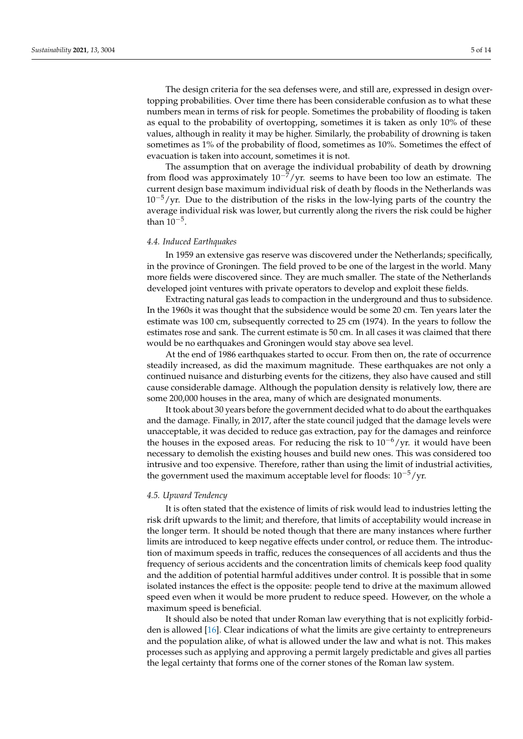The design criteria for the sea defenses were, and still are, expressed in design overtopping probabilities. Over time there has been considerable confusion as to what these numbers mean in terms of risk for people. Sometimes the probability of flooding is taken as equal to the probability of overtopping, sometimes it is taken as only 10% of these values, although in reality it may be higher. Similarly, the probability of drowning is taken sometimes as 1% of the probability of flood, sometimes as 10%. Sometimes the effect of evacuation is taken into account, sometimes it is not.

The assumption that on average the individual probability of death by drowning from flood was approximately  $10^{-7}/yr$ . seems to have been too low an estimate. The current design base maximum individual risk of death by floods in the Netherlands was  $10^{-5}/yr$ . Due to the distribution of the risks in the low-lying parts of the country the average individual risk was lower, but currently along the rivers the risk could be higher than 10−<sup>5</sup> .

#### *4.4. Induced Earthquakes*

In 1959 an extensive gas reserve was discovered under the Netherlands; specifically, in the province of Groningen. The field proved to be one of the largest in the world. Many more fields were discovered since. They are much smaller. The state of the Netherlands developed joint ventures with private operators to develop and exploit these fields.

Extracting natural gas leads to compaction in the underground and thus to subsidence. In the 1960s it was thought that the subsidence would be some 20 cm. Ten years later the estimate was 100 cm, subsequently corrected to 25 cm (1974). In the years to follow the estimates rose and sank. The current estimate is 50 cm. In all cases it was claimed that there would be no earthquakes and Groningen would stay above sea level.

At the end of 1986 earthquakes started to occur. From then on, the rate of occurrence steadily increased, as did the maximum magnitude. These earthquakes are not only a continued nuisance and disturbing events for the citizens, they also have caused and still cause considerable damage. Although the population density is relatively low, there are some 200,000 houses in the area, many of which are designated monuments.

It took about 30 years before the government decided what to do about the earthquakes and the damage. Finally, in 2017, after the state council judged that the damage levels were unacceptable, it was decided to reduce gas extraction, pay for the damages and reinforce the houses in the exposed areas. For reducing the risk to  $10^{-6}/yr$ . it would have been necessary to demolish the existing houses and build new ones. This was considered too intrusive and too expensive. Therefore, rather than using the limit of industrial activities, the government used the maximum acceptable level for floods:  $10^{-5}/yr$ .

#### *4.5. Upward Tendency*

It is often stated that the existence of limits of risk would lead to industries letting the risk drift upwards to the limit; and therefore, that limits of acceptability would increase in the longer term. It should be noted though that there are many instances where further limits are introduced to keep negative effects under control, or reduce them. The introduction of maximum speeds in traffic, reduces the consequences of all accidents and thus the frequency of serious accidents and the concentration limits of chemicals keep food quality and the addition of potential harmful additives under control. It is possible that in some isolated instances the effect is the opposite: people tend to drive at the maximum allowed speed even when it would be more prudent to reduce speed. However, on the whole a maximum speed is beneficial.

It should also be noted that under Roman law everything that is not explicitly forbidden is allowed [\[16\]](#page-12-14). Clear indications of what the limits are give certainty to entrepreneurs and the population alike, of what is allowed under the law and what is not. This makes processes such as applying and approving a permit largely predictable and gives all parties the legal certainty that forms one of the corner stones of the Roman law system.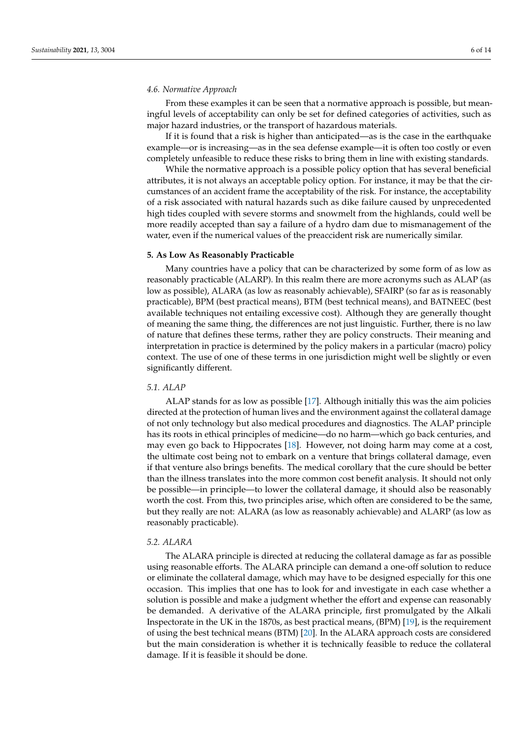### *4.6. Normative Approach*

From these examples it can be seen that a normative approach is possible, but meaningful levels of acceptability can only be set for defined categories of activities, such as major hazard industries, or the transport of hazardous materials.

If it is found that a risk is higher than anticipated—as is the case in the earthquake example—or is increasing—as in the sea defense example—it is often too costly or even completely unfeasible to reduce these risks to bring them in line with existing standards.

While the normative approach is a possible policy option that has several beneficial attributes, it is not always an acceptable policy option. For instance, it may be that the circumstances of an accident frame the acceptability of the risk. For instance, the acceptability of a risk associated with natural hazards such as dike failure caused by unprecedented high tides coupled with severe storms and snowmelt from the highlands, could well be more readily accepted than say a failure of a hydro dam due to mismanagement of the water, even if the numerical values of the preaccident risk are numerically similar.

#### **5. As Low As Reasonably Practicable**

Many countries have a policy that can be characterized by some form of as low as reasonably practicable (ALARP). In this realm there are more acronyms such as ALAP (as low as possible), ALARA (as low as reasonably achievable), SFAIRP (so far as is reasonably practicable), BPM (best practical means), BTM (best technical means), and BATNEEC (best available techniques not entailing excessive cost). Although they are generally thought of meaning the same thing, the differences are not just linguistic. Further, there is no law of nature that defines these terms, rather they are policy constructs. Their meaning and interpretation in practice is determined by the policy makers in a particular (macro) policy context. The use of one of these terms in one jurisdiction might well be slightly or even significantly different.

#### *5.1. ALAP*

ALAP stands for as low as possible [\[17\]](#page-12-15). Although initially this was the aim policies directed at the protection of human lives and the environment against the collateral damage of not only technology but also medical procedures and diagnostics. The ALAP principle has its roots in ethical principles of medicine—do no harm—which go back centuries, and may even go back to Hippocrates [\[18\]](#page-12-16). However, not doing harm may come at a cost, the ultimate cost being not to embark on a venture that brings collateral damage, even if that venture also brings benefits. The medical corollary that the cure should be better than the illness translates into the more common cost benefit analysis. It should not only be possible—in principle—to lower the collateral damage, it should also be reasonably worth the cost. From this, two principles arise, which often are considered to be the same, but they really are not: ALARA (as low as reasonably achievable) and ALARP (as low as reasonably practicable).

#### *5.2. ALARA*

The ALARA principle is directed at reducing the collateral damage as far as possible using reasonable efforts. The ALARA principle can demand a one-off solution to reduce or eliminate the collateral damage, which may have to be designed especially for this one occasion. This implies that one has to look for and investigate in each case whether a solution is possible and make a judgment whether the effort and expense can reasonably be demanded. A derivative of the ALARA principle, first promulgated by the Alkali Inspectorate in the UK in the 1870s, as best practical means, (BPM) [\[19\]](#page-12-17), is the requirement of using the best technical means (BTM) [\[20\]](#page-13-0). In the ALARA approach costs are considered but the main consideration is whether it is technically feasible to reduce the collateral damage. If it is feasible it should be done.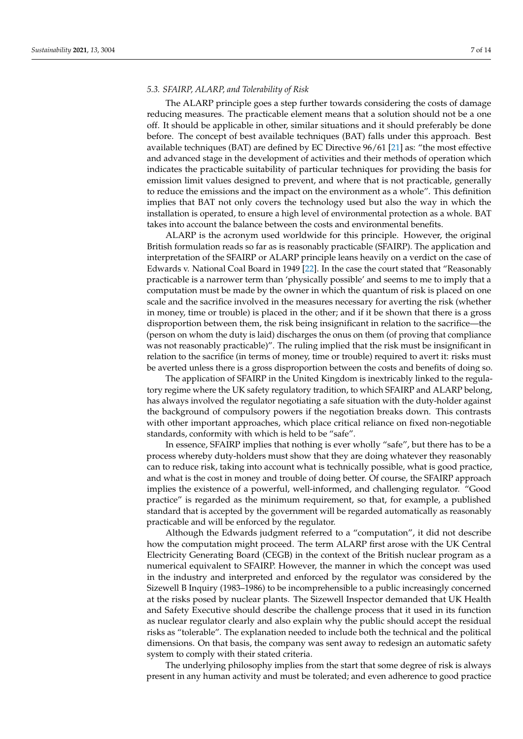### *5.3. SFAIRP, ALARP, and Tolerability of Risk*

The ALARP principle goes a step further towards considering the costs of damage reducing measures. The practicable element means that a solution should not be a one off. It should be applicable in other, similar situations and it should preferably be done before. The concept of best available techniques (BAT) falls under this approach. Best available techniques (BAT) are defined by EC Directive 96/61 [\[21\]](#page-13-1) as: "the most effective and advanced stage in the development of activities and their methods of operation which indicates the practicable suitability of particular techniques for providing the basis for emission limit values designed to prevent, and where that is not practicable, generally to reduce the emissions and the impact on the environment as a whole". This definition implies that BAT not only covers the technology used but also the way in which the installation is operated, to ensure a high level of environmental protection as a whole. BAT takes into account the balance between the costs and environmental benefits.

ALARP is the acronym used worldwide for this principle. However, the original British formulation reads so far as is reasonably practicable (SFAIRP). The application and interpretation of the SFAIRP or ALARP principle leans heavily on a verdict on the case of Edwards v. National Coal Board in 1949 [\[22\]](#page-13-2). In the case the court stated that "Reasonably practicable is a narrower term than 'physically possible' and seems to me to imply that a computation must be made by the owner in which the quantum of risk is placed on one scale and the sacrifice involved in the measures necessary for averting the risk (whether in money, time or trouble) is placed in the other; and if it be shown that there is a gross disproportion between them, the risk being insignificant in relation to the sacrifice—the (person on whom the duty is laid) discharges the onus on them (of proving that compliance was not reasonably practicable)". The ruling implied that the risk must be insignificant in relation to the sacrifice (in terms of money, time or trouble) required to avert it: risks must be averted unless there is a gross disproportion between the costs and benefits of doing so.

The application of SFAIRP in the United Kingdom is inextricably linked to the regulatory regime where the UK safety regulatory tradition, to which SFAIRP and ALARP belong, has always involved the regulator negotiating a safe situation with the duty-holder against the background of compulsory powers if the negotiation breaks down. This contrasts with other important approaches, which place critical reliance on fixed non-negotiable standards, conformity with which is held to be "safe".

In essence, SFAIRP implies that nothing is ever wholly "safe", but there has to be a process whereby duty-holders must show that they are doing whatever they reasonably can to reduce risk, taking into account what is technically possible, what is good practice, and what is the cost in money and trouble of doing better. Of course, the SFAIRP approach implies the existence of a powerful, well-informed, and challenging regulator. "Good practice" is regarded as the minimum requirement, so that, for example, a published standard that is accepted by the government will be regarded automatically as reasonably practicable and will be enforced by the regulator.

Although the Edwards judgment referred to a "computation", it did not describe how the computation might proceed. The term ALARP first arose with the UK Central Electricity Generating Board (CEGB) in the context of the British nuclear program as a numerical equivalent to SFAIRP. However, the manner in which the concept was used in the industry and interpreted and enforced by the regulator was considered by the Sizewell B Inquiry (1983–1986) to be incomprehensible to a public increasingly concerned at the risks posed by nuclear plants. The Sizewell Inspector demanded that UK Health and Safety Executive should describe the challenge process that it used in its function as nuclear regulator clearly and also explain why the public should accept the residual risks as "tolerable". The explanation needed to include both the technical and the political dimensions. On that basis, the company was sent away to redesign an automatic safety system to comply with their stated criteria.

The underlying philosophy implies from the start that some degree of risk is always present in any human activity and must be tolerated; and even adherence to good practice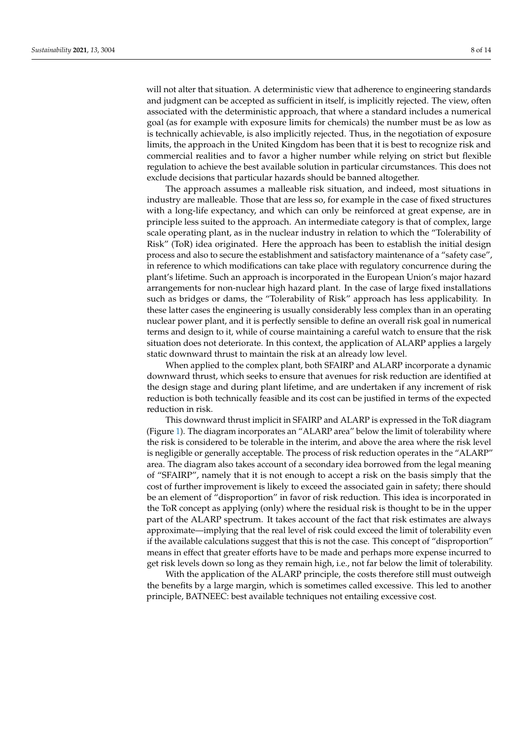will not alter that situation. A deterministic view that adherence to engineering standards and judgment can be accepted as sufficient in itself, is implicitly rejected. The view, often associated with the deterministic approach, that where a standard includes a numerical goal (as for example with exposure limits for chemicals) the number must be as low as is technically achievable, is also implicitly rejected. Thus, in the negotiation of exposure limits, the approach in the United Kingdom has been that it is best to recognize risk and commercial realities and to favor a higher number while relying on strict but flexible regulation to achieve the best available solution in particular circumstances. This does not exclude decisions that particular hazards should be banned altogether.

The approach assumes a malleable risk situation, and indeed, most situations in industry are malleable. Those that are less so, for example in the case of fixed structures with a long-life expectancy, and which can only be reinforced at great expense, are in principle less suited to the approach. An intermediate category is that of complex, large scale operating plant, as in the nuclear industry in relation to which the "Tolerability of Risk" (ToR) idea originated. Here the approach has been to establish the initial design process and also to secure the establishment and satisfactory maintenance of a "safety case", in reference to which modifications can take place with regulatory concurrence during the plant's lifetime. Such an approach is incorporated in the European Union's major hazard arrangements for non-nuclear high hazard plant. In the case of large fixed installations such as bridges or dams, the "Tolerability of Risk" approach has less applicability. In these latter cases the engineering is usually considerably less complex than in an operating nuclear power plant, and it is perfectly sensible to define an overall risk goal in numerical terms and design to it, while of course maintaining a careful watch to ensure that the risk situation does not deteriorate. In this context, the application of ALARP applies a largely static downward thrust to maintain the risk at an already low level.

When applied to the complex plant, both SFAIRP and ALARP incorporate a dynamic downward thrust, which seeks to ensure that avenues for risk reduction are identified at the design stage and during plant lifetime, and are undertaken if any increment of risk reduction is both technically feasible and its cost can be justified in terms of the expected reduction in risk.

This downward thrust implicit in SFAIRP and ALARP is expressed in the ToR diagram (Figure [1\)](#page-8-0). The diagram incorporates an "ALARP area" below the limit of tolerability where the risk is considered to be tolerable in the interim, and above the area where the risk level is negligible or generally acceptable. The process of risk reduction operates in the "ALARP" area. The diagram also takes account of a secondary idea borrowed from the legal meaning of "SFAIRP", namely that it is not enough to accept a risk on the basis simply that the cost of further improvement is likely to exceed the associated gain in safety; there should be an element of "disproportion" in favor of risk reduction. This idea is incorporated in the ToR concept as applying (only) where the residual risk is thought to be in the upper part of the ALARP spectrum. It takes account of the fact that risk estimates are always approximate—implying that the real level of risk could exceed the limit of tolerability even if the available calculations suggest that this is not the case. This concept of "disproportion" means in effect that greater efforts have to be made and perhaps more expense incurred to get risk levels down so long as they remain high, i.e., not far below the limit of tolerability.

With the application of the ALARP principle, the costs therefore still must outweigh the benefits by a large margin, which is sometimes called excessive. This led to another principle, BATNEEC: best available techniques not entailing excessive cost.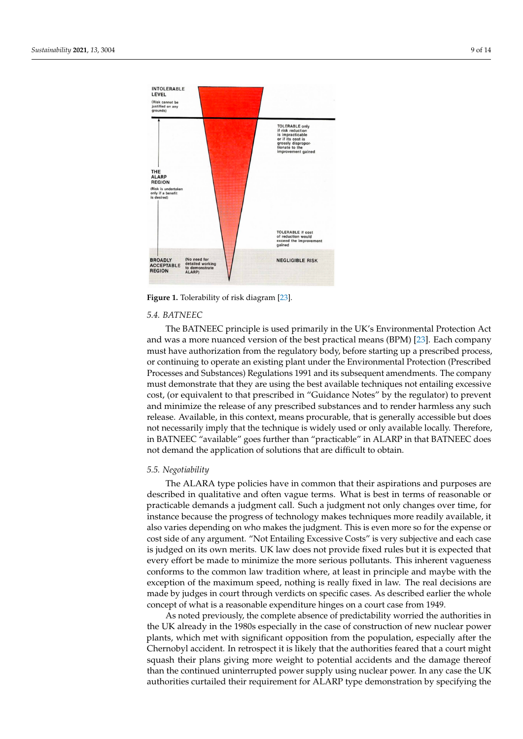<span id="page-8-0"></span>

**Figure 1.** Tolerability of risk diagram [\[23](#page-13-3)]. **Figure 1.** Tolerability of risk diagram [23].

#### $N$ *5.4. BATNEEC*

The BATNEEC principle is used primarily in the UK's Environmental Protection Act and was a more nuanced version of the best practical means (BPM) [\[23\]](#page-13-3). Each company or continuing to operate an existing plant under the Environmental Protection (Prescribed Processes and Substances) Regulations 1991 and its subsequent amendments. The company<br> must demonstrate that they are using the best available techniques not entailing excessive  $\mathcal{L}$ cost, (or equivalent to that prescribed in "Guidance Notes" by the regulator) to prevent<br>cost, (or equivalent to that prescribed in "Guidance Notes" by the regulator) to prevent release. Available, in this context, means procurable, that is generally accessible but does not necessarily imply that the technique is widely used or only available locally. Therefore, in BATNEEC "available" goes further than "practicable" in ALARP in that BATNEEC does  $\epsilon$  cost, (or excessive cost, (or equivalent to the regulator) to the regulator  $\epsilon$  or  $\epsilon$  or  $\epsilon$  or  $\epsilon$  or  $\epsilon$  or  $\epsilon$  or  $\epsilon$  or  $\epsilon$  or  $\epsilon$  or  $\epsilon$  or  $\epsilon$  or  $\epsilon$  or  $\epsilon$  or  $\epsilon$  or  $\epsilon$  or  $\epsilon$  or  $\epsilon$  or  $\epsilon$ not demand the application of solutions that are difficult to obtain. must have authorization from the regulatory body, before starting up a prescribed process, and minimize the release of any prescribed substances and to render harmless any such

## any such release. Available, in this context, means procurable, that is generally accessible *5.5. Negotiability*

The ALARA type policies have in common that their aspirations and purposes are described in qualitative and often vague terms. What is best in terms of reasonable or practicable demands a judgment call. Such a judgment not only changes over time, for *5.5. Negotiability*  also varies depending on who makes the judgment. This is even more so for the expense or cost side of any argument. "Not Entailing Excessive Costs" is very subjective and each case is judged on its own merits. UK law does not provide fixed rules but it is expected that every effort be made to minimize the more serious pollutants. This inherent vagueness conforms to the common law tradition where, at least in principle and maybe with the exception of the maximum speed, nothing is really fixed in law. The real decisions are made by judges in court through verdicts on specific cases. As described earlier the whole concept of what is a reasonable expenditure hinges on a court case from 1949. instance because the progress of technology makes techniques more readily available, it

As noted previously, the complete absence of predictability worried the authorities in the UK already in the 1980s especially in the case of construction of new nuclear power plants, which met with significant opposition from the population, especially after the Chernobyl accident. In retrospect it is likely that the authorities feared that a court might squash their plans giving more weight to potential accidents and the damage thereof than the continued uninterrupted power supply using nuclear power. In any case the UK authorities curtailed their requirement for ALARP type demonstration by specifying the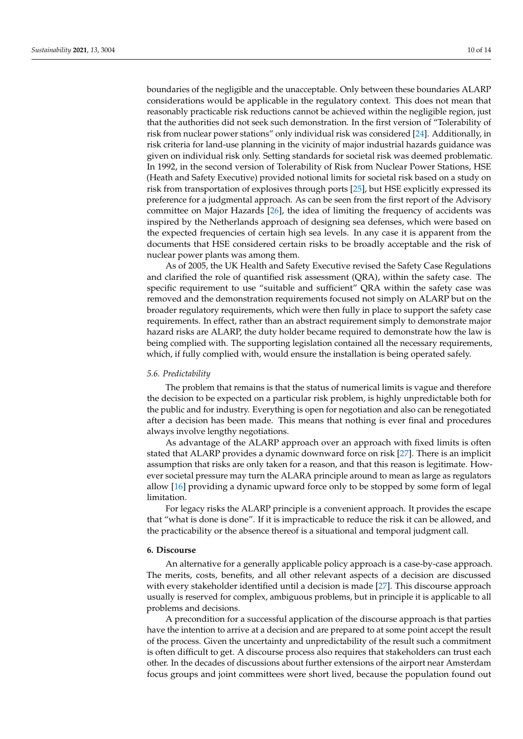boundaries of the negligible and the unacceptable. Only between these boundaries ALARP considerations would be applicable in the regulatory context. This does not mean that reasonably practicable risk reductions cannot be achieved within the negligible region, just that the authorities did not seek such demonstration. In the first version of "Tolerability of risk from nuclear power stations" only individual risk was considered [\[24\]](#page-13-4). Additionally, in risk criteria for land-use planning in the vicinity of major industrial hazards guidance was given on individual risk only. Setting standards for societal risk was deemed problematic. In 1992, in the second version of Tolerability of Risk from Nuclear Power Stations, HSE (Heath and Safety Executive) provided notional limits for societal risk based on a study on risk from transportation of explosives through ports [\[25\]](#page-13-5), but HSE explicitly expressed its preference for a judgmental approach. As can be seen from the first report of the Advisory committee on Major Hazards [\[26\]](#page-13-6), the idea of limiting the frequency of accidents was inspired by the Netherlands approach of designing sea defenses, which were based on the expected frequencies of certain high sea levels. In any case it is apparent from the documents that HSE considered certain risks to be broadly acceptable and the risk of nuclear power plants was among them.

As of 2005, the UK Health and Safety Executive revised the Safety Case Regulations and clarified the role of quantified risk assessment (QRA), within the safety case. The specific requirement to use "suitable and sufficient" QRA within the safety case was removed and the demonstration requirements focused not simply on ALARP but on the broader regulatory requirements, which were then fully in place to support the safety case requirements. In effect, rather than an abstract requirement simply to demonstrate major hazard risks are ALARP, the duty holder became required to demonstrate how the law is being complied with. The supporting legislation contained all the necessary requirements, which, if fully complied with, would ensure the installation is being operated safely.

#### *5.6. Predictability*

The problem that remains is that the status of numerical limits is vague and therefore the decision to be expected on a particular risk problem, is highly unpredictable both for the public and for industry. Everything is open for negotiation and also can be renegotiated after a decision has been made. This means that nothing is ever final and procedures always involve lengthy negotiations.

As advantage of the ALARP approach over an approach with fixed limits is often stated that ALARP provides a dynamic downward force on risk [\[27\]](#page-13-7). There is an implicit assumption that risks are only taken for a reason, and that this reason is legitimate. However societal pressure may turn the ALARA principle around to mean as large as regulators allow [\[16\]](#page-12-14) providing a dynamic upward force only to be stopped by some form of legal limitation.

For legacy risks the ALARP principle is a convenient approach. It provides the escape that "what is done is done". If it is impracticable to reduce the risk it can be allowed, and the practicability or the absence thereof is a situational and temporal judgment call.

#### **6. Discourse**

An alternative for a generally applicable policy approach is a case-by-case approach. The merits, costs, benefits, and all other relevant aspects of a decision are discussed with every stakeholder identified until a decision is made [\[27\]](#page-13-7). This discourse approach usually is reserved for complex, ambiguous problems, but in principle it is applicable to all problems and decisions.

A precondition for a successful application of the discourse approach is that parties have the intention to arrive at a decision and are prepared to at some point accept the result of the process. Given the uncertainty and unpredictability of the result such a commitment is often difficult to get. A discourse process also requires that stakeholders can trust each other. In the decades of discussions about further extensions of the airport near Amsterdam focus groups and joint committees were short lived, because the population found out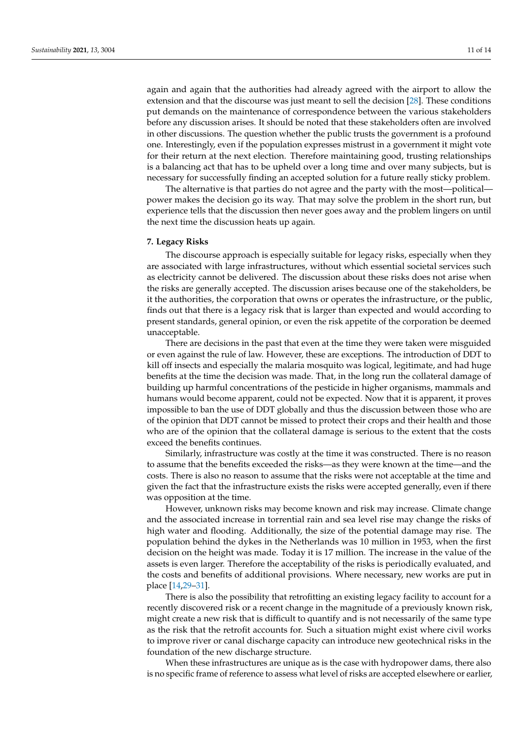again and again that the authorities had already agreed with the airport to allow the extension and that the discourse was just meant to sell the decision [\[28\]](#page-13-8). These conditions put demands on the maintenance of correspondence between the various stakeholders before any discussion arises. It should be noted that these stakeholders often are involved in other discussions. The question whether the public trusts the government is a profound one. Interestingly, even if the population expresses mistrust in a government it might vote for their return at the next election. Therefore maintaining good, trusting relationships is a balancing act that has to be upheld over a long time and over many subjects, but is necessary for successfully finding an accepted solution for a future really sticky problem.

The alternative is that parties do not agree and the party with the most—political power makes the decision go its way. That may solve the problem in the short run, but experience tells that the discussion then never goes away and the problem lingers on until the next time the discussion heats up again.

#### **7. Legacy Risks**

The discourse approach is especially suitable for legacy risks, especially when they are associated with large infrastructures, without which essential societal services such as electricity cannot be delivered. The discussion about these risks does not arise when the risks are generally accepted. The discussion arises because one of the stakeholders, be it the authorities, the corporation that owns or operates the infrastructure, or the public, finds out that there is a legacy risk that is larger than expected and would according to present standards, general opinion, or even the risk appetite of the corporation be deemed unacceptable.

There are decisions in the past that even at the time they were taken were misguided or even against the rule of law. However, these are exceptions. The introduction of DDT to kill off insects and especially the malaria mosquito was logical, legitimate, and had huge benefits at the time the decision was made. That, in the long run the collateral damage of building up harmful concentrations of the pesticide in higher organisms, mammals and humans would become apparent, could not be expected. Now that it is apparent, it proves impossible to ban the use of DDT globally and thus the discussion between those who are of the opinion that DDT cannot be missed to protect their crops and their health and those who are of the opinion that the collateral damage is serious to the extent that the costs exceed the benefits continues.

Similarly, infrastructure was costly at the time it was constructed. There is no reason to assume that the benefits exceeded the risks—as they were known at the time—and the costs. There is also no reason to assume that the risks were not acceptable at the time and given the fact that the infrastructure exists the risks were accepted generally, even if there was opposition at the time.

However, unknown risks may become known and risk may increase. Climate change and the associated increase in torrential rain and sea level rise may change the risks of high water and flooding. Additionally, the size of the potential damage may rise. The population behind the dykes in the Netherlands was 10 million in 1953, when the first decision on the height was made. Today it is 17 million. The increase in the value of the assets is even larger. Therefore the acceptability of the risks is periodically evaluated, and the costs and benefits of additional provisions. Where necessary, new works are put in place [\[14](#page-12-12)[,29](#page-13-9)[–31\]](#page-13-10).

There is also the possibility that retrofitting an existing legacy facility to account for a recently discovered risk or a recent change in the magnitude of a previously known risk, might create a new risk that is difficult to quantify and is not necessarily of the same type as the risk that the retrofit accounts for. Such a situation might exist where civil works to improve river or canal discharge capacity can introduce new geotechnical risks in the foundation of the new discharge structure.

When these infrastructures are unique as is the case with hydropower dams, there also is no specific frame of reference to assess what level of risks are accepted elsewhere or earlier,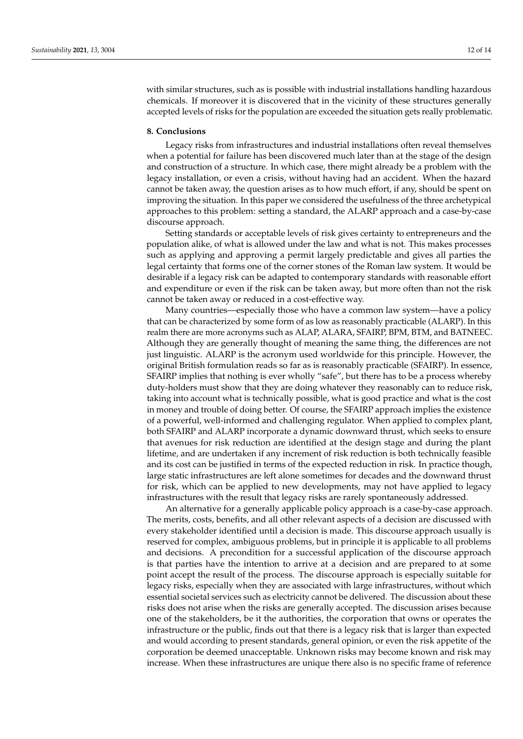with similar structures, such as is possible with industrial installations handling hazardous chemicals. If moreover it is discovered that in the vicinity of these structures generally accepted levels of risks for the population are exceeded the situation gets really problematic.

#### **8. Conclusions**

Legacy risks from infrastructures and industrial installations often reveal themselves when a potential for failure has been discovered much later than at the stage of the design and construction of a structure. In which case, there might already be a problem with the legacy installation, or even a crisis, without having had an accident. When the hazard cannot be taken away, the question arises as to how much effort, if any, should be spent on improving the situation. In this paper we considered the usefulness of the three archetypical approaches to this problem: setting a standard, the ALARP approach and a case-by-case discourse approach.

Setting standards or acceptable levels of risk gives certainty to entrepreneurs and the population alike, of what is allowed under the law and what is not. This makes processes such as applying and approving a permit largely predictable and gives all parties the legal certainty that forms one of the corner stones of the Roman law system. It would be desirable if a legacy risk can be adapted to contemporary standards with reasonable effort and expenditure or even if the risk can be taken away, but more often than not the risk cannot be taken away or reduced in a cost-effective way.

Many countries—especially those who have a common law system—have a policy that can be characterized by some form of as low as reasonably practicable (ALARP). In this realm there are more acronyms such as ALAP, ALARA, SFAIRP, BPM, BTM, and BATNEEC. Although they are generally thought of meaning the same thing, the differences are not just linguistic. ALARP is the acronym used worldwide for this principle. However, the original British formulation reads so far as is reasonably practicable (SFAIRP). In essence, SFAIRP implies that nothing is ever wholly "safe", but there has to be a process whereby duty-holders must show that they are doing whatever they reasonably can to reduce risk, taking into account what is technically possible, what is good practice and what is the cost in money and trouble of doing better. Of course, the SFAIRP approach implies the existence of a powerful, well-informed and challenging regulator. When applied to complex plant, both SFAIRP and ALARP incorporate a dynamic downward thrust, which seeks to ensure that avenues for risk reduction are identified at the design stage and during the plant lifetime, and are undertaken if any increment of risk reduction is both technically feasible and its cost can be justified in terms of the expected reduction in risk. In practice though, large static infrastructures are left alone sometimes for decades and the downward thrust for risk, which can be applied to new developments, may not have applied to legacy infrastructures with the result that legacy risks are rarely spontaneously addressed.

An alternative for a generally applicable policy approach is a case-by-case approach. The merits, costs, benefits, and all other relevant aspects of a decision are discussed with every stakeholder identified until a decision is made. This discourse approach usually is reserved for complex, ambiguous problems, but in principle it is applicable to all problems and decisions. A precondition for a successful application of the discourse approach is that parties have the intention to arrive at a decision and are prepared to at some point accept the result of the process. The discourse approach is especially suitable for legacy risks, especially when they are associated with large infrastructures, without which essential societal services such as electricity cannot be delivered. The discussion about these risks does not arise when the risks are generally accepted. The discussion arises because one of the stakeholders, be it the authorities, the corporation that owns or operates the infrastructure or the public, finds out that there is a legacy risk that is larger than expected and would according to present standards, general opinion, or even the risk appetite of the corporation be deemed unacceptable. Unknown risks may become known and risk may increase. When these infrastructures are unique there also is no specific frame of reference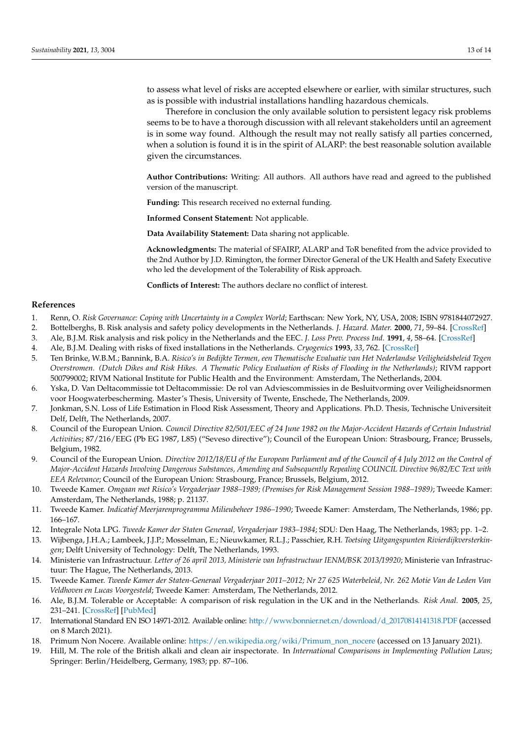to assess what level of risks are accepted elsewhere or earlier, with similar structures, such as is possible with industrial installations handling hazardous chemicals.

Therefore in conclusion the only available solution to persistent legacy risk problems seems to be to have a thorough discussion with all relevant stakeholders until an agreement is in some way found. Although the result may not really satisfy all parties concerned, when a solution is found it is in the spirit of ALARP: the best reasonable solution available given the circumstances.

**Author Contributions:** Writing: All authors. All authors have read and agreed to the published version of the manuscript.

**Funding:** This research received no external funding.

**Informed Consent Statement:** Not applicable.

**Data Availability Statement:** Data sharing not applicable.

**Acknowledgments:** The material of SFAIRP, ALARP and ToR benefited from the advice provided to the 2nd Author by J.D. Rimington, the former Director General of the UK Health and Safety Executive who led the development of the Tolerability of Risk approach.

**Conflicts of Interest:** The authors declare no conflict of interest.

#### **References**

- <span id="page-12-0"></span>1. Renn, O. *Risk Governance: Coping with Uncertainty in a Complex World*; Earthscan: New York, NY, USA, 2008; ISBN 9781844072927.
- <span id="page-12-1"></span>2. Bottelberghs, B. Risk analysis and safety policy developments in the Netherlands. *J. Hazard. Mater.* **2000**, *71*, 59–84. [\[CrossRef\]](http://doi.org/10.1016/S0304-3894(99)00072-2)
- 3. Ale, B.J.M. Risk analysis and risk policy in the Netherlands and the EEC. *J. Loss Prev. Process Ind.* **1991**, *4*, 58–64. [\[CrossRef\]](http://doi.org/10.1016/0950-4230(91)80008-I)
- <span id="page-12-2"></span>4. Ale, B.J.M. Dealing with risks of fixed installations in the Netherlands. *Cryogenics* **1993**, *33*, 762. [\[CrossRef\]](http://doi.org/10.1016/0011-2275(93)90184-P)
- <span id="page-12-3"></span>5. Ten Brinke, W.B.M.; Bannink, B.A. *Risico's in Bedijkte Termen, een Thematische Evaluatie van Het Nederlandse Veiligheidsbeleid Tegen Overstromen. (Dutch Dikes and Risk Hikes. A Thematic Policy Evaluation of Risks of Flooding in the Netherlands)*; RIVM rapport 500799002; RIVM National Institute for Public Health and the Environment: Amsterdam, The Netherlands, 2004.
- <span id="page-12-4"></span>6. Yska, D. Van Deltacommissie tot Deltacommissie: De rol van Adviescommissies in de Besluitvorming over Veiligheidsnormen voor Hoogwaterbescherming. Master's Thesis, University of Twente, Enschede, The Netherlands, 2009.
- <span id="page-12-5"></span>7. Jonkman, S.N. Loss of Life Estimation in Flood Risk Assessment, Theory and Applications. Ph.D. Thesis, Technische Universiteit Delf, Delft, The Netherlands, 2007.
- <span id="page-12-6"></span>8. Council of the European Union. *Council Directive 82/501/EEC of 24 June 1982 on the Major-Accident Hazards of Certain Industrial Activities*; 87/216/EEG (Pb EG 1987, L85) ("Seveso directive"); Council of the European Union: Strasbourg, France; Brussels, Belgium, 1982.
- <span id="page-12-7"></span>9. Council of the European Union. *Directive 2012/18/EU of the European Parliament and of the Council of 4 July 2012 on the Control of Major-Accident Hazards Involving Dangerous Substances, Amending and Subsequently Repealing COUNCIL Directive 96/82/EC Text with EEA Relevance*; Council of the European Union: Strasbourg, France; Brussels, Belgium, 2012.
- <span id="page-12-8"></span>10. Tweede Kamer. *Omgaan met Risico's Vergaderjaar 1988–1989; (Premises for Risk Management Session 1988–1989)*; Tweede Kamer: Amsterdam, The Netherlands, 1988; p. 21137.
- <span id="page-12-9"></span>11. Tweede Kamer. *Indicatief Meerjarenprogramma Milieubeheer 1986–1990*; Tweede Kamer: Amsterdam, The Netherlands, 1986; pp. 166–167.
- <span id="page-12-10"></span>12. Integrale Nota LPG. *Tweede Kamer der Staten Generaal, Vergaderjaar 1983–1984*; SDU: Den Haag, The Netherlands, 1983; pp. 1–2.
- <span id="page-12-11"></span>13. Wijbenga, J.H.A.; Lambeek, J.J.P.; Mosselman, E.; Nieuwkamer, R.L.J.; Passchier, R.H. *Toetsing Uitgangspunten Rivierdijkversterkingen*; Delft University of Technology: Delft, The Netherlands, 1993.
- <span id="page-12-12"></span>14. Ministerie van Infrastructuur. *Letter of 26 april 2013, Ministerie van Infrastructuur IENM/BSK 2013/19920*; Ministerie van Infrastructuur: The Hague, The Netherlands, 2013.
- <span id="page-12-13"></span>15. Tweede Kamer. *Tweede Kamer der Staten-Generaal Vergaderjaar 2011–2012; Nr 27 625 Waterbeleid, Nr. 262 Motie Van de Leden Van Veldhoven en Lucas Voorgesteld*; Tweede Kamer: Amsterdam, The Netherlands, 2012.
- <span id="page-12-14"></span>16. Ale, B.J.M. Tolerable or Acceptable: A comparison of risk regulation in the UK and in the Netherlands. *Risk Anal.* **2005**, *25*, 231–241. [\[CrossRef\]](http://doi.org/10.1111/j.1539-6924.2005.00585.x) [\[PubMed\]](http://www.ncbi.nlm.nih.gov/pubmed/15876200)
- <span id="page-12-15"></span>17. International Standard EN ISO 14971-2012. Available online: [http://www.bonnier.net.cn/download/d\\_20170814141318.PDF](http://www.bonnier.net.cn/download/d_20170814141318.PDF) (accessed on 8 March 2021).
- <span id="page-12-16"></span>18. Primum Non Nocere. Available online: [https://en.wikipedia.org/wiki/Primum\\_non\\_nocere](https://en.wikipedia.org/wiki/Primum_non_nocere) (accessed on 13 January 2021).
- <span id="page-12-17"></span>19. Hill, M. The role of the British alkali and clean air inspectorate. In *International Comparisons in Implementing Pollution Laws*; Springer: Berlin/Heidelberg, Germany, 1983; pp. 87–106.